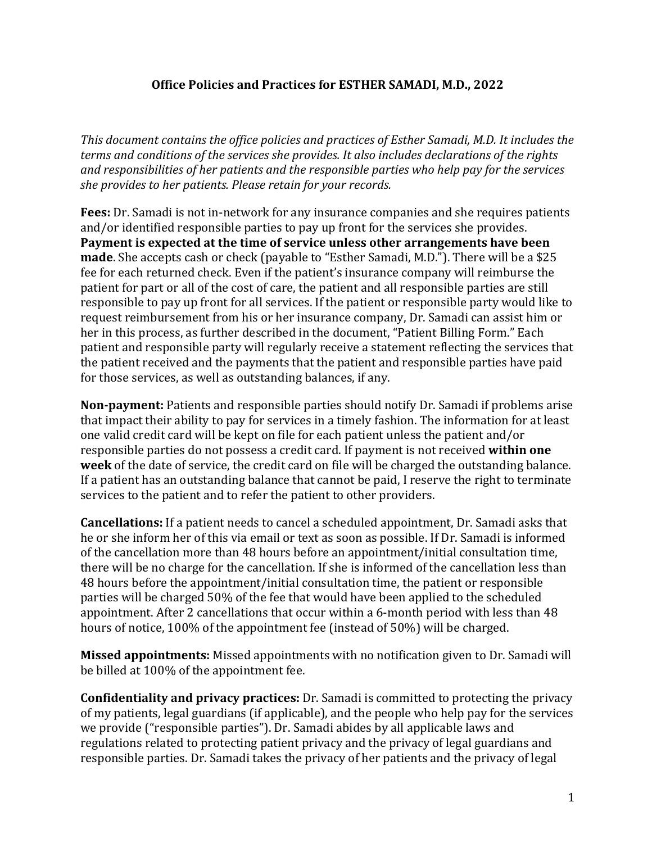## **Office Policies and Practices for ESTHER SAMADI, M.D., 2022**

This document contains the office policies and practices of Esther Samadi, M.D. It includes the *terms and conditions of the services she provides. It also includes declarations of the rights* and responsibilities of her patients and the responsible parties who help pay for the services *she provides to her patients. Please retain for your records.* 

**Fees:** Dr. Samadi is not in-network for any insurance companies and she requires patients and/or identified responsible parties to pay up front for the services she provides. **Payment is expected at the time of service unless other arrangements have been made**. She accepts cash or check (payable to "Esther Samadi, M.D."). There will be a \$25 fee for each returned check. Even if the patient's insurance company will reimburse the patient for part or all of the cost of care, the patient and all responsible parties are still responsible to pay up front for all services. If the patient or responsible party would like to request reimbursement from his or her insurance company, Dr. Samadi can assist him or her in this process, as further described in the document, "Patient Billing Form." Each patient and responsible party will regularly receive a statement reflecting the services that the patient received and the payments that the patient and responsible parties have paid for those services, as well as outstanding balances, if any.

**Non-payment:** Patients and responsible parties should notify Dr. Samadi if problems arise that impact their ability to pay for services in a timely fashion. The information for at least one valid credit card will be kept on file for each patient unless the patient and/or responsible parties do not possess a credit card. If payment is not received within one **week** of the date of service, the credit card on file will be charged the outstanding balance. If a patient has an outstanding balance that cannot be paid, I reserve the right to terminate services to the patient and to refer the patient to other providers.

**Cancellations:** If a patient needs to cancel a scheduled appointment, Dr. Samadi asks that he or she inform her of this via email or text as soon as possible. If Dr. Samadi is informed of the cancellation more than 48 hours before an appointment/initial consultation time, there will be no charge for the cancellation. If she is informed of the cancellation less than 48 hours before the appointment/initial consultation time, the patient or responsible parties will be charged 50% of the fee that would have been applied to the scheduled appointment. After 2 cancellations that occur within a 6-month period with less than 48 hours of notice, 100% of the appointment fee (instead of 50%) will be charged.

**Missed appointments:** Missed appointments with no notification given to Dr. Samadi will be billed at 100% of the appointment fee.

**Confidentiality and privacy practices:** Dr. Samadi is committed to protecting the privacy of my patients, legal guardians (if applicable), and the people who help pay for the services we provide ("responsible parties"). Dr. Samadi abides by all applicable laws and regulations related to protecting patient privacy and the privacy of legal guardians and responsible parties. Dr. Samadi takes the privacy of her patients and the privacy of legal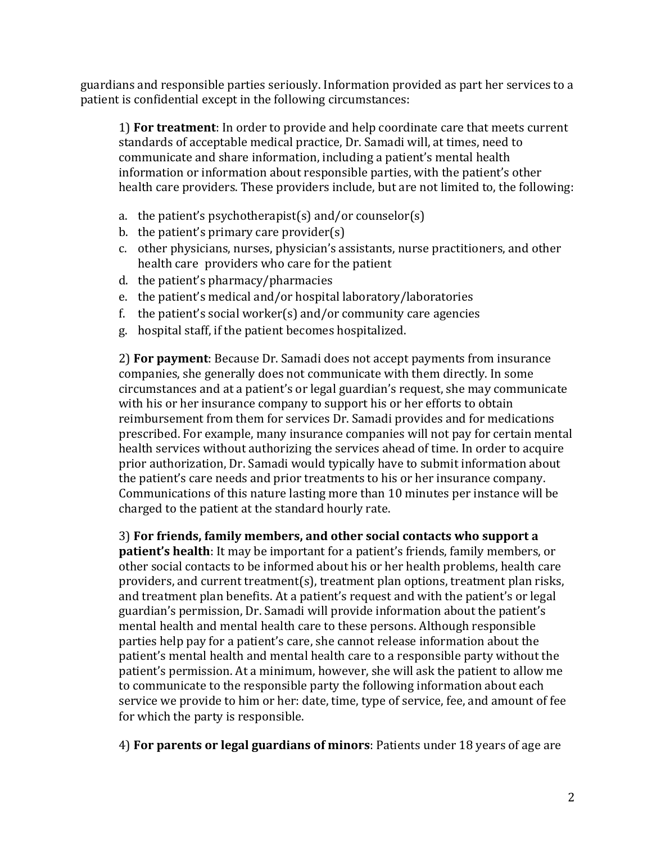guardians and responsible parties seriously. Information provided as part her services to a patient is confidential except in the following circumstances:

1) **For treatment**: In order to provide and help coordinate care that meets current standards of acceptable medical practice, Dr. Samadi will, at times, need to communicate and share information, including a patient's mental health information or information about responsible parties, with the patient's other health care providers. These providers include, but are not limited to, the following:

- a. the patient's psychotherapist(s) and/or counselor(s)
- b. the patient's primary care provider(s)
- c. other physicians, nurses, physician's assistants, nurse practitioners, and other health care providers who care for the patient
- d. the patient's pharmacy/pharmacies
- e. the patient's medical and/or hospital laboratory/laboratories
- f. the patient's social worker(s) and/or community care agencies
- g. hospital staff, if the patient becomes hospitalized.

2) **For payment**: Because Dr. Samadi does not accept payments from insurance companies, she generally does not communicate with them directly. In some circumstances and at a patient's or legal guardian's request, she may communicate with his or her insurance company to support his or her efforts to obtain reimbursement from them for services Dr. Samadi provides and for medications prescribed. For example, many insurance companies will not pay for certain mental health services without authorizing the services ahead of time. In order to acquire prior authorization, Dr. Samadi would typically have to submit information about the patient's care needs and prior treatments to his or her insurance company. Communications of this nature lasting more than 10 minutes per instance will be charged to the patient at the standard hourly rate.

3) For friends, family members, and other social contacts who support a **patient's health**: It may be important for a patient's friends, family members, or other social contacts to be informed about his or her health problems, health care providers, and current treatment(s), treatment plan options, treatment plan risks, and treatment plan benefits. At a patient's request and with the patient's or legal guardian's permission, Dr. Samadi will provide information about the patient's mental health and mental health care to these persons. Although responsible parties help pay for a patient's care, she cannot release information about the patient's mental health and mental health care to a responsible party without the patient's permission. At a minimum, however, she will ask the patient to allow me to communicate to the responsible party the following information about each service we provide to him or her: date, time, type of service, fee, and amount of fee for which the party is responsible.

4) For parents or legal guardians of minors: Patients under 18 years of age are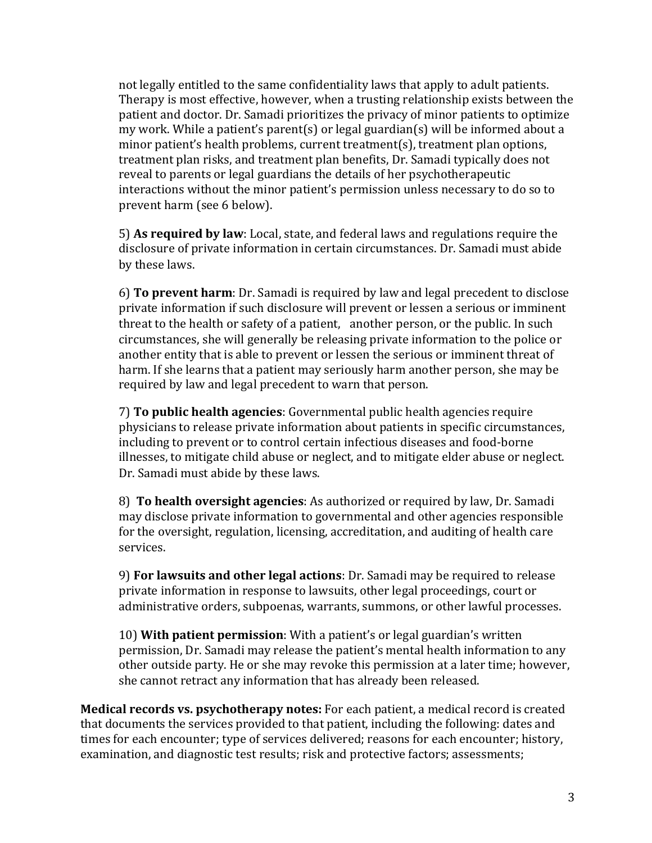not legally entitled to the same confidentiality laws that apply to adult patients. Therapy is most effective, however, when a trusting relationship exists between the patient and doctor. Dr. Samadi prioritizes the privacy of minor patients to optimize my work. While a patient's parent(s) or legal guardian(s) will be informed about a  $minor$  patient's health problems, current treatment(s), treatment plan options, treatment plan risks, and treatment plan benefits, Dr. Samadi typically does not reveal to parents or legal guardians the details of her psychotherapeutic interactions without the minor patient's permission unless necessary to do so to prevent harm (see 6 below).

5) As required by law: Local, state, and federal laws and regulations require the disclosure of private information in certain circumstances. Dr. Samadi must abide by these laws.

6) **To prevent harm**: Dr. Samadi is required by law and legal precedent to disclose private information if such disclosure will prevent or lessen a serious or imminent threat to the health or safety of a patient, another person, or the public. In such circumstances, she will generally be releasing private information to the police or another entity that is able to prevent or lessen the serious or imminent threat of harm. If she learns that a patient may seriously harm another person, she may be required by law and legal precedent to warn that person.

7) **To public health agencies**: Governmental public health agencies require physicians to release private information about patients in specific circumstances, including to prevent or to control certain infectious diseases and food-borne illnesses, to mitigate child abuse or neglect, and to mitigate elder abuse or neglect. Dr. Samadi must abide by these laws.

8) **To health oversight agencies**: As authorized or required by law, Dr. Samadi may disclose private information to governmental and other agencies responsible for the oversight, regulation, licensing, accreditation, and auditing of health care services. 

9) **For lawsuits and other legal actions**: Dr. Samadi may be required to release private information in response to lawsuits, other legal proceedings, court or administrative orders, subpoenas, warrants, summons, or other lawful processes.

10) **With patient permission**: With a patient's or legal guardian's written permission, Dr. Samadi may release the patient's mental health information to any other outside party. He or she may revoke this permission at a later time; however, she cannot retract any information that has already been released.

**Medical records vs. psychotherapy notes:** For each patient, a medical record is created that documents the services provided to that patient, including the following: dates and times for each encounter; type of services delivered; reasons for each encounter; history, examination, and diagnostic test results; risk and protective factors; assessments;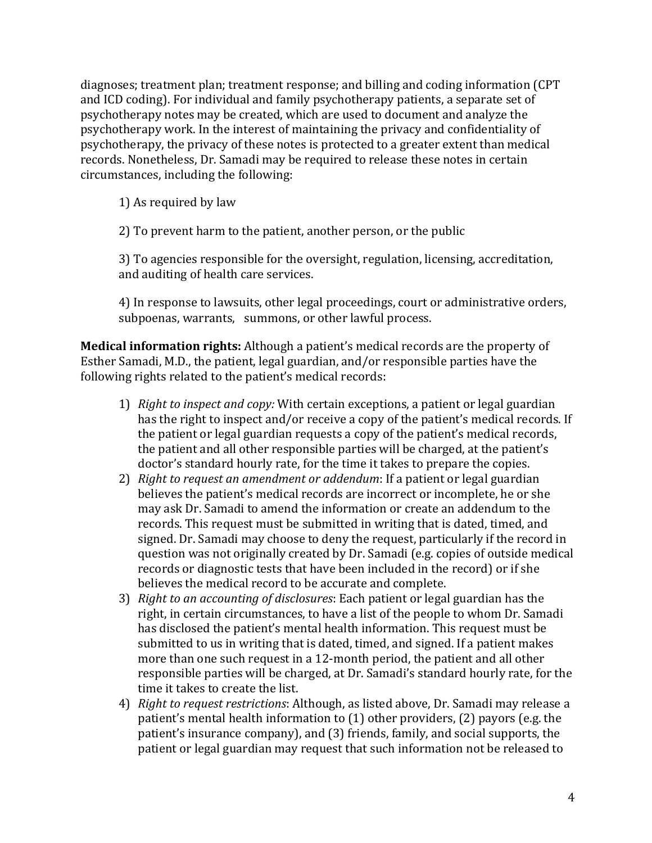diagnoses; treatment plan; treatment response; and billing and coding information (CPT and ICD coding). For individual and family psychotherapy patients, a separate set of psychotherapy notes may be created, which are used to document and analyze the psychotherapy work. In the interest of maintaining the privacy and confidentiality of psychotherapy, the privacy of these notes is protected to a greater extent than medical records. Nonetheless, Dr. Samadi may be required to release these notes in certain circumstances, including the following:

1) As required by law

2) To prevent harm to the patient, another person, or the public

3) To agencies responsible for the oversight, regulation, licensing, accreditation, and auditing of health care services.

4) In response to lawsuits, other legal proceedings, court or administrative orders, subpoenas, warrants, summons, or other lawful process.

**Medical information rights:** Although a patient's medical records are the property of Esther Samadi, M.D., the patient, legal guardian, and/or responsible parties have the following rights related to the patient's medical records:

- 1) *Right to inspect and copy:* With certain exceptions, a patient or legal guardian has the right to inspect and/or receive a copy of the patient's medical records. If the patient or legal guardian requests a copy of the patient's medical records, the patient and all other responsible parties will be charged, at the patient's doctor's standard hourly rate, for the time it takes to prepare the copies.
- 2) *Right to request an amendment or addendum*: If a patient or legal guardian believes the patient's medical records are incorrect or incomplete, he or she may ask Dr. Samadi to amend the information or create an addendum to the records. This request must be submitted in writing that is dated, timed, and signed. Dr. Samadi may choose to deny the request, particularly if the record in question was not originally created by Dr. Samadi (e.g. copies of outside medical records or diagnostic tests that have been included in the record) or if she believes the medical record to be accurate and complete.
- 3) *Right to an accounting of disclosures*: Each patient or legal guardian has the right, in certain circumstances, to have a list of the people to whom Dr. Samadi has disclosed the patient's mental health information. This request must be submitted to us in writing that is dated, timed, and signed. If a patient makes more than one such request in a 12-month period, the patient and all other responsible parties will be charged, at Dr. Samadi's standard hourly rate, for the time it takes to create the list.
- 4) *Right to request restrictions*: Although, as listed above, Dr. Samadi may release a patient's mental health information to  $(1)$  other providers,  $(2)$  payors (e.g. the patient's insurance company), and (3) friends, family, and social supports, the patient or legal guardian may request that such information not be released to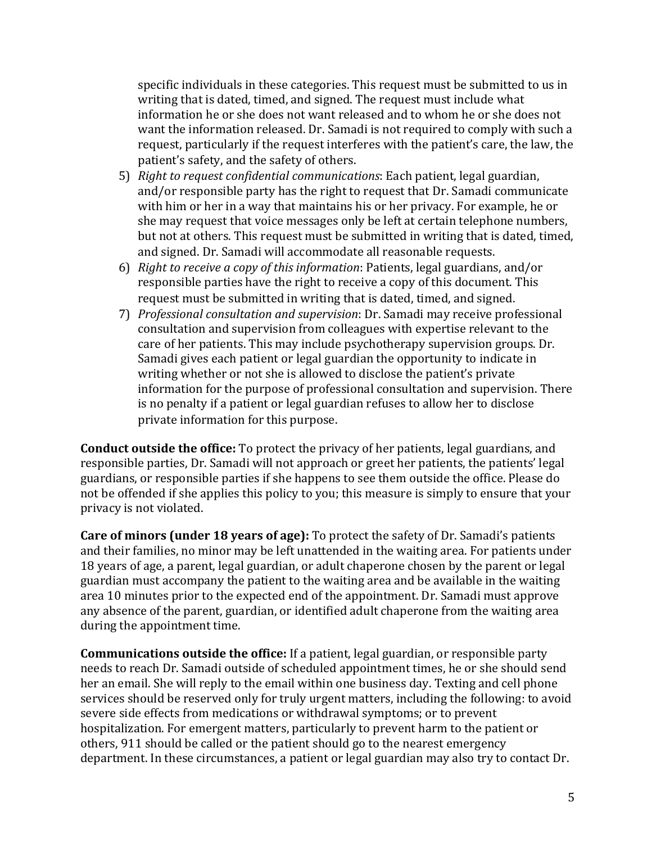specific individuals in these categories. This request must be submitted to us in writing that is dated, timed, and signed. The request must include what information he or she does not want released and to whom he or she does not want the information released. Dr. Samadi is not required to comply with such a request, particularly if the request interferes with the patient's care, the law, the patient's safety, and the safety of others.

- 5) *Right to request confidential communications*: Each patient, legal guardian, and/or responsible party has the right to request that Dr. Samadi communicate with him or her in a way that maintains his or her privacy. For example, he or she may request that voice messages only be left at certain telephone numbers, but not at others. This request must be submitted in writing that is dated, timed, and signed. Dr. Samadi will accommodate all reasonable requests.
- 6) *Right to receive a copy of this information*: Patients, legal guardians, and/or responsible parties have the right to receive a copy of this document. This request must be submitted in writing that is dated, timed, and signed.
- 7) *Professional consultation and supervision*: Dr. Samadi may receive professional consultation and supervision from colleagues with expertise relevant to the care of her patients. This may include psychotherapy supervision groups. Dr. Samadi gives each patient or legal guardian the opportunity to indicate in writing whether or not she is allowed to disclose the patient's private information for the purpose of professional consultation and supervision. There is no penalty if a patient or legal guardian refuses to allow her to disclose private information for this purpose.

**Conduct outside the office:** To protect the privacy of her patients, legal guardians, and responsible parties, Dr. Samadi will not approach or greet her patients, the patients' legal guardians, or responsible parties if she happens to see them outside the office. Please do not be offended if she applies this policy to you; this measure is simply to ensure that your privacy is not violated.

**Care of minors (under 18 years of age):** To protect the safety of Dr. Samadi's patients and their families, no minor may be left unattended in the waiting area. For patients under 18 years of age, a parent, legal guardian, or adult chaperone chosen by the parent or legal guardian must accompany the patient to the waiting area and be available in the waiting area 10 minutes prior to the expected end of the appointment. Dr. Samadi must approve any absence of the parent, guardian, or identified adult chaperone from the waiting area during the appointment time.

**Communications outside the office:** If a patient, legal guardian, or responsible party needs to reach Dr. Samadi outside of scheduled appointment times, he or she should send her an email. She will reply to the email within one business day. Texting and cell phone services should be reserved only for truly urgent matters, including the following: to avoid severe side effects from medications or withdrawal symptoms; or to prevent hospitalization. For emergent matters, particularly to prevent harm to the patient or others, 911 should be called or the patient should go to the nearest emergency department. In these circumstances, a patient or legal guardian may also try to contact Dr.